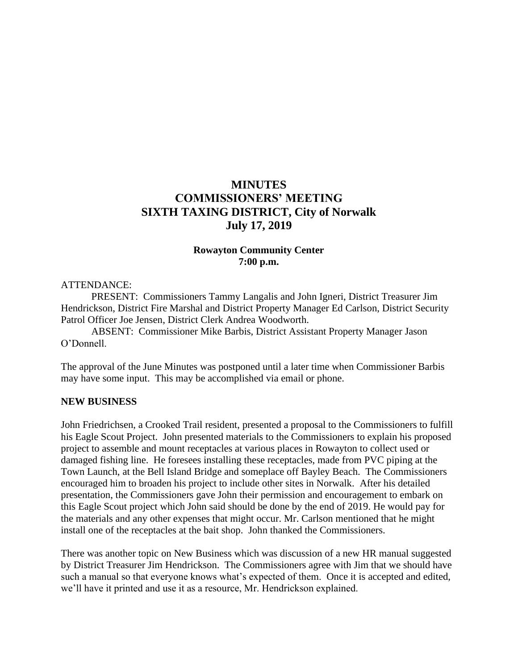# **MINUTES COMMISSIONERS' MEETING SIXTH TAXING DISTRICT, City of Norwalk July 17, 2019**

# **Rowayton Community Center 7:00 p.m.**

#### ATTENDANCE:

PRESENT: Commissioners Tammy Langalis and John Igneri, District Treasurer Jim Hendrickson, District Fire Marshal and District Property Manager Ed Carlson, District Security Patrol Officer Joe Jensen, District Clerk Andrea Woodworth.

ABSENT: Commissioner Mike Barbis, District Assistant Property Manager Jason O'Donnell.

The approval of the June Minutes was postponed until a later time when Commissioner Barbis may have some input. This may be accomplished via email or phone.

#### **NEW BUSINESS**

John Friedrichsen, a Crooked Trail resident, presented a proposal to the Commissioners to fulfill his Eagle Scout Project. John presented materials to the Commissioners to explain his proposed project to assemble and mount receptacles at various places in Rowayton to collect used or damaged fishing line. He foresees installing these receptacles, made from PVC piping at the Town Launch, at the Bell Island Bridge and someplace off Bayley Beach. The Commissioners encouraged him to broaden his project to include other sites in Norwalk. After his detailed presentation, the Commissioners gave John their permission and encouragement to embark on this Eagle Scout project which John said should be done by the end of 2019. He would pay for the materials and any other expenses that might occur. Mr. Carlson mentioned that he might install one of the receptacles at the bait shop. John thanked the Commissioners.

There was another topic on New Business which was discussion of a new HR manual suggested by District Treasurer Jim Hendrickson. The Commissioners agree with Jim that we should have such a manual so that everyone knows what's expected of them. Once it is accepted and edited, we'll have it printed and use it as a resource, Mr. Hendrickson explained.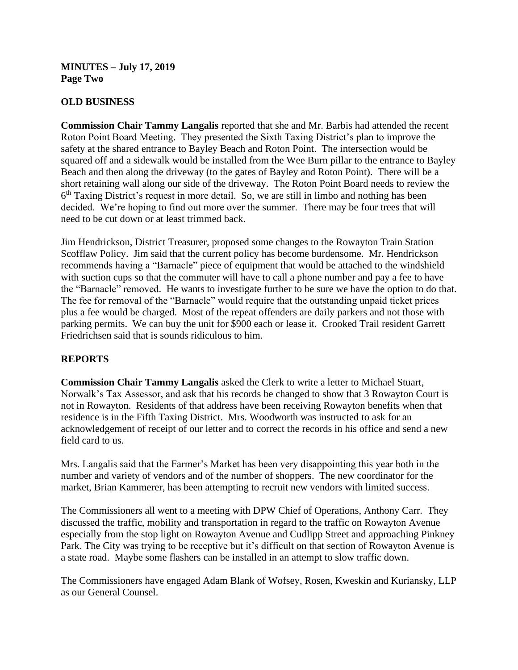**MINUTES – July 17, 2019 Page Two**

# **OLD BUSINESS**

**Commission Chair Tammy Langalis** reported that she and Mr. Barbis had attended the recent Roton Point Board Meeting. They presented the Sixth Taxing District's plan to improve the safety at the shared entrance to Bayley Beach and Roton Point. The intersection would be squared off and a sidewalk would be installed from the Wee Burn pillar to the entrance to Bayley Beach and then along the driveway (to the gates of Bayley and Roton Point). There will be a short retaining wall along our side of the driveway. The Roton Point Board needs to review the 6<sup>th</sup> Taxing District's request in more detail. So, we are still in limbo and nothing has been decided. We're hoping to find out more over the summer. There may be four trees that will need to be cut down or at least trimmed back.

Jim Hendrickson, District Treasurer, proposed some changes to the Rowayton Train Station Scofflaw Policy. Jim said that the current policy has become burdensome. Mr. Hendrickson recommends having a "Barnacle" piece of equipment that would be attached to the windshield with suction cups so that the commuter will have to call a phone number and pay a fee to have the "Barnacle" removed. He wants to investigate further to be sure we have the option to do that. The fee for removal of the "Barnacle" would require that the outstanding unpaid ticket prices plus a fee would be charged. Most of the repeat offenders are daily parkers and not those with parking permits. We can buy the unit for \$900 each or lease it. Crooked Trail resident Garrett Friedrichsen said that is sounds ridiculous to him.

## **REPORTS**

**Commission Chair Tammy Langalis** asked the Clerk to write a letter to Michael Stuart, Norwalk's Tax Assessor, and ask that his records be changed to show that 3 Rowayton Court is not in Rowayton. Residents of that address have been receiving Rowayton benefits when that residence is in the Fifth Taxing District. Mrs. Woodworth was instructed to ask for an acknowledgement of receipt of our letter and to correct the records in his office and send a new field card to us.

Mrs. Langalis said that the Farmer's Market has been very disappointing this year both in the number and variety of vendors and of the number of shoppers. The new coordinator for the market, Brian Kammerer, has been attempting to recruit new vendors with limited success.

The Commissioners all went to a meeting with DPW Chief of Operations, Anthony Carr. They discussed the traffic, mobility and transportation in regard to the traffic on Rowayton Avenue especially from the stop light on Rowayton Avenue and Cudlipp Street and approaching Pinkney Park. The City was trying to be receptive but it's difficult on that section of Rowayton Avenue is a state road. Maybe some flashers can be installed in an attempt to slow traffic down.

The Commissioners have engaged Adam Blank of Wofsey, Rosen, Kweskin and Kuriansky, LLP as our General Counsel.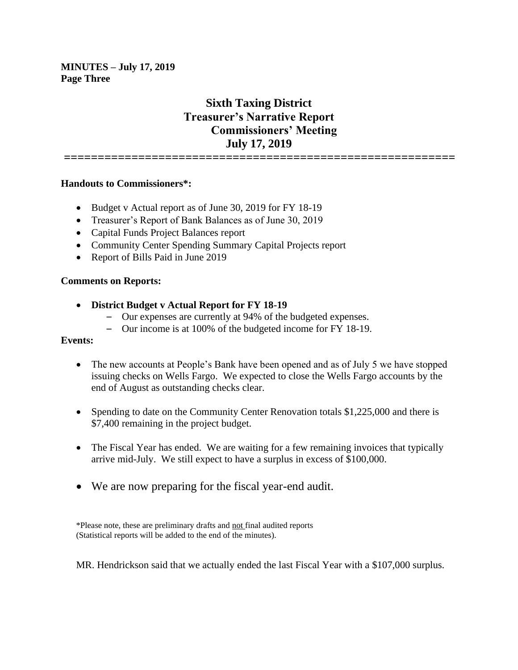**MINUTES – July 17, 2019 Page Three**

# **Sixth Taxing District Treasurer's Narrative Report Commissioners' Meeting July 17, 2019**

**==========================================================**

## **Handouts to Commissioners\*:**

- Budget v Actual report as of June 30, 2019 for FY 18-19
- Treasurer's Report of Bank Balances as of June 30, 2019
- Capital Funds Project Balances report
- Community Center Spending Summary Capital Projects report
- Report of Bills Paid in June 2019

#### **Comments on Reports:**

- **District Budget v Actual Report for FY 18-19**
	- Our expenses are currently at 94% of the budgeted expenses.
	- Our income is at 100% of the budgeted income for FY 18-19.

## **Events:**

- The new accounts at People's Bank have been opened and as of July 5 we have stopped issuing checks on Wells Fargo. We expected to close the Wells Fargo accounts by the end of August as outstanding checks clear.
- Spending to date on the Community Center Renovation totals \$1,225,000 and there is \$7,400 remaining in the project budget.
- The Fiscal Year has ended. We are waiting for a few remaining invoices that typically arrive mid-July. We still expect to have a surplus in excess of \$100,000.
- We are now preparing for the fiscal year-end audit.

\*Please note, these are preliminary drafts and not final audited reports (Statistical reports will be added to the end of the minutes).

MR. Hendrickson said that we actually ended the last Fiscal Year with a \$107,000 surplus.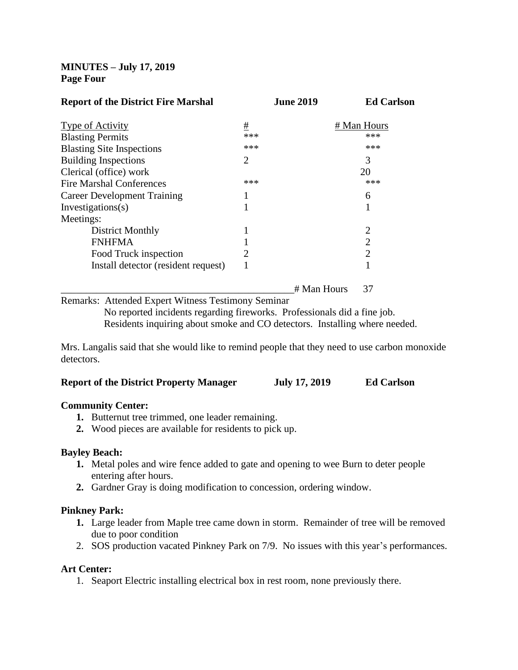# **MINUTES – July 17, 2019 Page Four**

| <b>Report of the District Fire Marshal</b>         |       | <b>June 2019</b> | <b>Ed Carlson</b> |
|----------------------------------------------------|-------|------------------|-------------------|
| <b>Type of Activity</b>                            | $\pm$ |                  | # Man Hours       |
| <b>Blasting Permits</b>                            | ***   |                  | ***               |
| <b>Blasting Site Inspections</b>                   | ***   |                  | ***               |
| <b>Building Inspections</b>                        | 2     |                  | 3                 |
| Clerical (office) work                             |       |                  | 20                |
| <b>Fire Marshal Conferences</b>                    | ***   |                  | ***               |
| <b>Career Development Training</b>                 |       |                  | 6                 |
| Investigations(s)                                  |       |                  |                   |
| Meetings:                                          |       |                  |                   |
| <b>District Monthly</b>                            |       |                  | $\overline{2}$    |
| <b>FNHFMA</b>                                      |       |                  | $\overline{2}$    |
| Food Truck inspection                              | 2     |                  | $\overline{2}$    |
| Install detector (resident request)                |       |                  |                   |
|                                                    |       | # Man Hours      | 37                |
| Remarks: Attended Expert Witness Testimony Seminar |       |                  |                   |

 No reported incidents regarding fireworks. Professionals did a fine job. Residents inquiring about smoke and CO detectors. Installing where needed.

Mrs. Langalis said that she would like to remind people that they need to use carbon monoxide detectors.

| <b>Report of the District Property Manager</b> | <b>July 17, 2019</b> | <b>Ed Carlson</b> |
|------------------------------------------------|----------------------|-------------------|
|------------------------------------------------|----------------------|-------------------|

## **Community Center:**

- **1.** Butternut tree trimmed, one leader remaining.
- **2.** Wood pieces are available for residents to pick up.

#### **Bayley Beach:**

- **1.** Metal poles and wire fence added to gate and opening to wee Burn to deter people entering after hours.
- **2.** Gardner Gray is doing modification to concession, ordering window.

#### **Pinkney Park:**

- **1.** Large leader from Maple tree came down in storm. Remainder of tree will be removed due to poor condition
- 2. SOS production vacated Pinkney Park on 7/9. No issues with this year's performances.

## **Art Center:**

1. Seaport Electric installing electrical box in rest room, none previously there.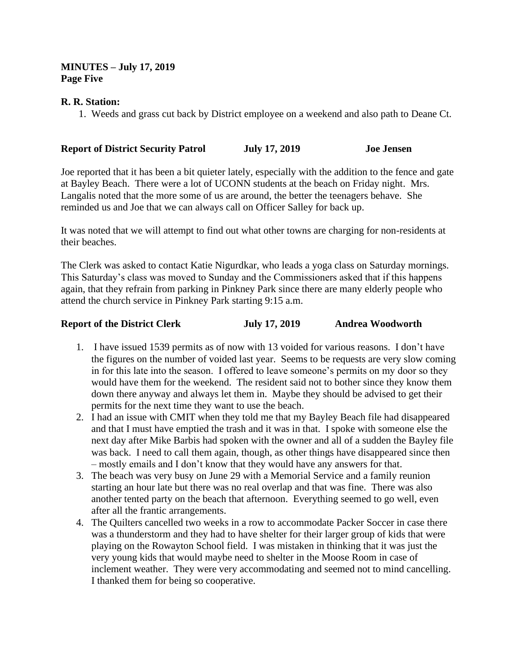#### **MINUTES – July 17, 2019 Page Five**

#### **R. R. Station:**

1. Weeds and grass cut back by District employee on a weekend and also path to Deane Ct.

#### **Report of District Security Patrol July 17, 2019 Joe Jensen**

Joe reported that it has been a bit quieter lately, especially with the addition to the fence and gate at Bayley Beach. There were a lot of UCONN students at the beach on Friday night. Mrs. Langalis noted that the more some of us are around, the better the teenagers behave. She reminded us and Joe that we can always call on Officer Salley for back up.

It was noted that we will attempt to find out what other towns are charging for non-residents at their beaches.

The Clerk was asked to contact Katie Nigurdkar, who leads a yoga class on Saturday mornings. This Saturday's class was moved to Sunday and the Commissioners asked that if this happens again, that they refrain from parking in Pinkney Park since there are many elderly people who attend the church service in Pinkney Park starting 9:15 a.m.

#### **Report of the District Clerk July 17, 2019 Andrea Woodworth**

- 1. I have issued 1539 permits as of now with 13 voided for various reasons. I don't have the figures on the number of voided last year. Seems to be requests are very slow coming in for this late into the season. I offered to leave someone's permits on my door so they would have them for the weekend. The resident said not to bother since they know them down there anyway and always let them in. Maybe they should be advised to get their permits for the next time they want to use the beach.
- 2. I had an issue with CMIT when they told me that my Bayley Beach file had disappeared and that I must have emptied the trash and it was in that. I spoke with someone else the next day after Mike Barbis had spoken with the owner and all of a sudden the Bayley file was back. I need to call them again, though, as other things have disappeared since then – mostly emails and I don't know that they would have any answers for that.
- 3. The beach was very busy on June 29 with a Memorial Service and a family reunion starting an hour late but there was no real overlap and that was fine. There was also another tented party on the beach that afternoon. Everything seemed to go well, even after all the frantic arrangements.
- 4. The Quilters cancelled two weeks in a row to accommodate Packer Soccer in case there was a thunderstorm and they had to have shelter for their larger group of kids that were playing on the Rowayton School field. I was mistaken in thinking that it was just the very young kids that would maybe need to shelter in the Moose Room in case of inclement weather. They were very accommodating and seemed not to mind cancelling. I thanked them for being so cooperative.